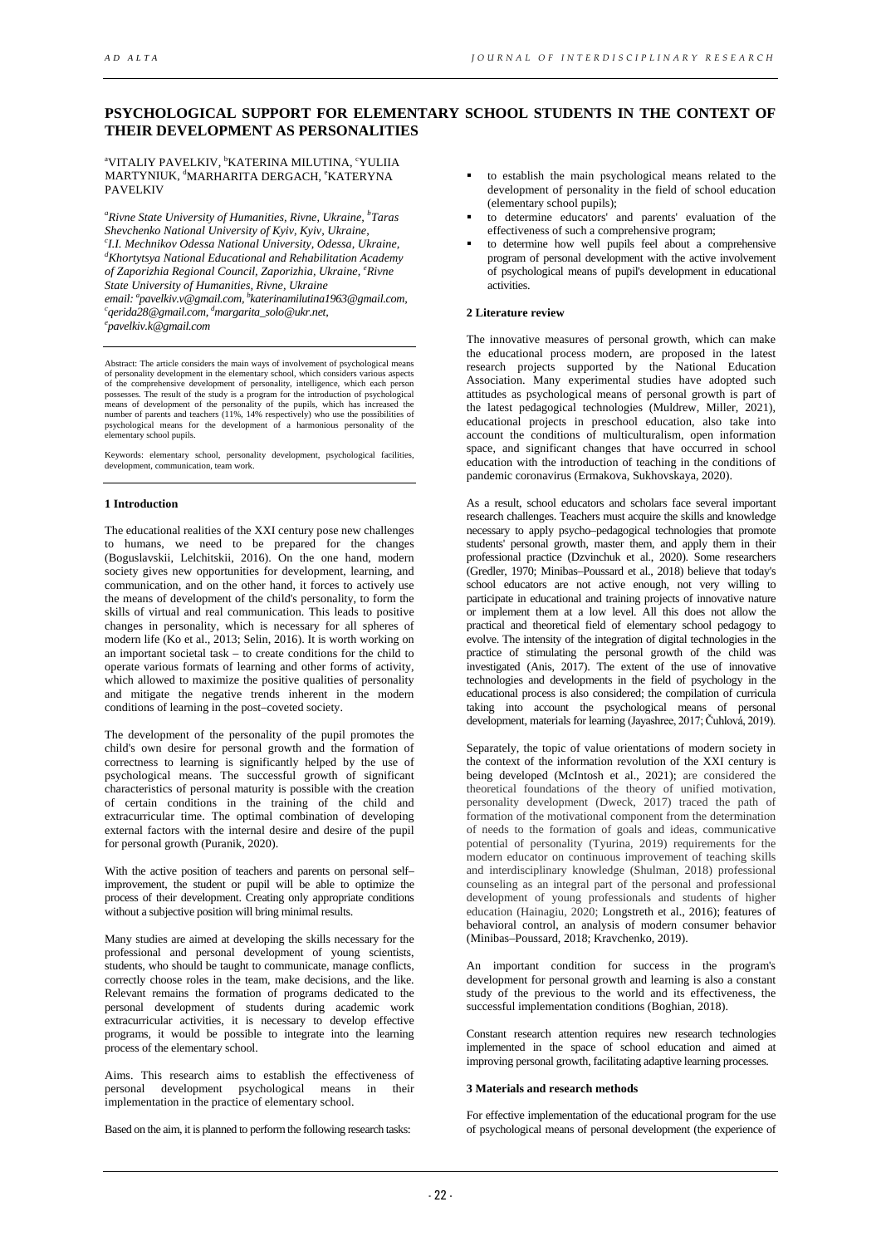# **PSYCHOLOGICAL SUPPORT FOR ELEMENTARY SCHOOL STUDENTS IN THE CONTEXT OF THEIR DEVELOPMENT AS PERSONALITIES**

aVITALIY PAVELKIV, <sup>b</sup>KATERINA MILUTINA, <sup>c</sup>YULIIA MARTYNIUK, <sup>d</sup>MARHARITA DERGACH, <sup>e</sup>KATERYNA PAVELKIV

*a Rivne State University of Humanities, Rivne, Ukraine, b Taras Shevchenko National University of Kyiv, Kyiv, Ukraine, c I.I. Mechnikov Odessa National University, Odessa, Ukraine, d Khortytsya National Educational and Rehabilitation Academy of Zaporizhia Regional Council, Zaporizhia, Ukraine, <sup>e</sup> Rivne email: a pavelkiv.v@gmail.com, b katerinamilutina1963@gmail.com, c State University of Humanities, Rivne, Ukraine qerida28@gmail.com, d margarita\_solo@ukr.net, e pavelkiv.k@gmail.com*

Abstract: The article considers the main ways of involvement of psychological means of personality development in the elementary school, which considers various aspects of the comprehensive development of personality, intelligence, which each person possesses. The result of the study is a program for the introduction of psychological means of development of the personality of the pupils, which has increased the number of parents and teachers (11%, 14% respectively) who use the possibilities of psychological means for the development of a harmonious personality of the elementary school pupils.

Keywords: elementary school, personality development, psychological facilities, development, communication, team work.

# **1 Introduction**

The educational realities of the XXI century pose new challenges to humans, we need to be prepared for the changes (Boguslavskii, Lelchitskii, 2016). On the one hand, modern society gives new opportunities for development, learning, and communication, and on the other hand, it forces to actively use the means of development of the child's personality, to form the skills of virtual and real communication. This leads to positive changes in personality, which is necessary for all spheres of modern life (Ko et al., 2013; Selin, 2016). It is worth working on an important societal task – to create conditions for the child to operate various formats of learning and other forms of activity, which allowed to maximize the positive qualities of personality and mitigate the negative trends inherent in the modern conditions of learning in the post–coveted society.

The development of the personality of the pupil promotes the child's own desire for personal growth and the formation of correctness to learning is significantly helped by the use of psychological means. The successful growth of significant characteristics of personal maturity is possible with the creation of certain conditions in the training of the child and extracurricular time. The optimal combination of developing external factors with the internal desire and desire of the pupil for personal growth (Puranik, 2020).

With the active position of teachers and parents on personal self– improvement, the student or pupil will be able to optimize the process of their development. Creating only appropriate conditions without a subjective position will bring minimal results.

Many studies are aimed at developing the skills necessary for the professional and personal development of young scientists, students, who should be taught to communicate, manage conflicts, correctly choose roles in the team, make decisions, and the like. Relevant remains the formation of programs dedicated to the personal development of students during academic work extracurricular activities, it is necessary to develop effective programs, it would be possible to integrate into the learning process of the elementary school.

Aims. This research aims to establish the effectiveness of personal development psychological means in their personal development psychological means in their implementation in the practice of elementary school.

Based on the aim, it is planned to perform the following research tasks:

- to establish the main psychological means related to the development of personality in the field of school education (elementary school pupils);
- to determine educators' and parents' evaluation of the effectiveness of such a comprehensive program;
- to determine how well pupils feel about a comprehensive program of personal development with the active involvement of psychological means of pupil's development in educational activities.

# **2 Literature review**

The innovative measures of personal growth, which can make the educational process modern, are proposed in the latest research projects supported by the National Education Association. Many experimental studies have adopted such attitudes as psychological means of personal growth is part of the latest pedagogical technologies (Muldrew, Miller, 2021), educational projects in preschool education, also take into account the conditions of multiculturalism, open information space, and significant changes that have occurred in school education with the introduction of teaching in the conditions of pandemic coronavirus (Ermakova, Sukhovskaya, 2020).

As a result, school educators and scholars face several important research challenges. Teachers must acquire the skills and knowledge necessary to apply psycho–pedagogical technologies that promote students' personal growth, master them, and apply them in their professional practice (Dzvinchuk et al., 2020). Some researchers (Gredler, 1970; Minibas–Poussard et al., 2018) believe that today's school educators are not active enough, not very willing to participate in educational and training projects of innovative nature or implement them at a low level. All this does not allow the practical and theoretical field of elementary school pedagogy to evolve. The intensity of the integration of digital technologies in the practice of stimulating the personal growth of the child was investigated (Anis, 2017). The extent of the use of innovative technologies and developments in the field of psychology in the educational process is also considered; the compilation of curricula taking into account the psychological means of personal development, materials for learning (Jayashree, 2017; Čuhlová, 2019).

Separately, the topic of value orientations of modern society in the context of the information revolution of the XXI century is being developed (McIntosh et al., 2021); are considered the theoretical foundations of the theory of unified motivation, personality development (Dweck, 2017) traced the path of formation of the motivational component from the determination of needs to the formation of goals and ideas, communicative potential of personality (Tyurina, 2019) requirements for the modern educator on continuous improvement of teaching skills and interdisciplinary knowledge (Shulman, 2018) professional counseling as an integral part of the personal and professional development of young professionals and students of higher education (Hainagiu, 2020; Longstreth et al., 2016); features of behavioral control, an analysis of modern consumer behavior (Minibas–Poussard, 2018; Kravchenko, 2019).

An important condition for success in the program's development for personal growth and learning is also a constant study of the previous to the world and its effectiveness, the successful implementation conditions (Boghian, 2018).

Constant research attention requires new research technologies implemented in the space of school education and aimed at improving personal growth, facilitating adaptive learning processes.

### **3 Materials and research methods**

For effective implementation of the educational program for the use of psychological means of personal development (the experience of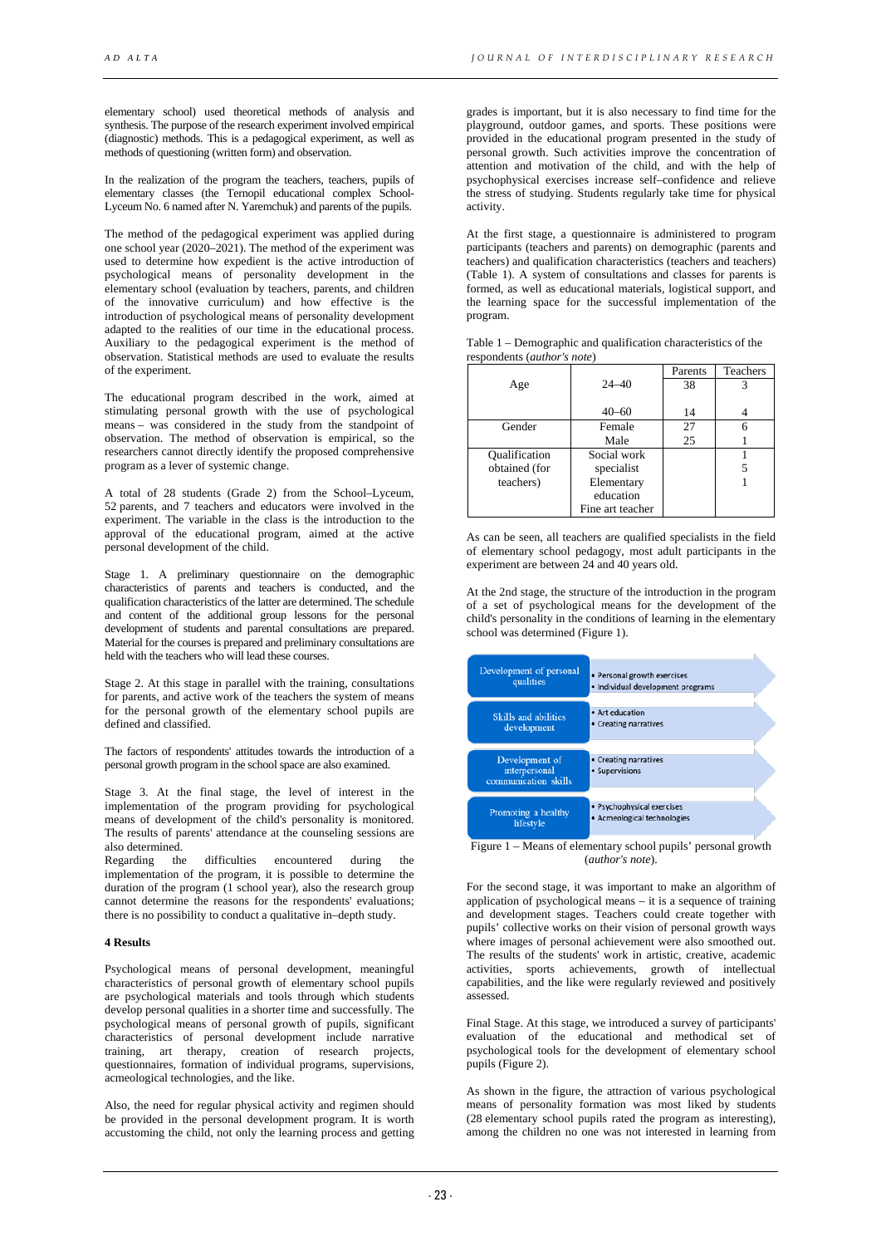elementary school) used theoretical methods of analysis and synthesis. The purpose of the research experiment involved empirical (diagnostic) methods. This is a pedagogical experiment, as well as methods of questioning (written form) and observation.

In the realization of the program the teachers, teachers, pupils of elementary classes (the Ternopil educational complex School-Lyceum No. 6 named after N. Yaremchuk) and parents of the pupils.

The method of the pedagogical experiment was applied during one school year (2020–2021). The method of the experiment was used to determine how expedient is the active introduction of psychological means of personality development in the elementary school (evaluation by teachers, parents, and children of the innovative curriculum) and how effective is the introduction of psychological means of personality development adapted to the realities of our time in the educational process. Auxiliary to the pedagogical experiment is the method of observation. Statistical methods are used to evaluate the results of the experiment.

The educational program described in the work, aimed at stimulating personal growth with the use of psychological means – was considered in the study from the standpoint of observation. The method of observation is empirical, so the researchers cannot directly identify the proposed comprehensive program as a lever of systemic change.

A total of 28 students (Grade 2) from the School–Lyceum, 52 parents, and 7 teachers and educators were involved in the experiment. The variable in the class is the introduction to the approval of the educational program, aimed at the active personal development of the child.

Stage 1. A preliminary questionnaire on the demographic characteristics of parents and teachers is conducted, and the qualification characteristics of the latter are determined. The schedule and content of the additional group lessons for the personal development of students and parental consultations are prepared. Material for the courses is prepared and preliminary consultations are held with the teachers who will lead these courses.

Stage 2. At this stage in parallel with the training, consultations for parents, and active work of the teachers the system of means for the personal growth of the elementary school pupils are defined and classified.

The factors of respondents' attitudes towards the introduction of a personal growth program in the school space are also examined.

Stage 3. At the final stage, the level of interest in the implementation of the program providing for psychological means of development of the child's personality is monitored. The results of parents' attendance at the counseling sessions are also determined.

Regarding the difficulties encountered during the implementation of the program, it is possible to determine the duration of the program (1 school year), also the research group cannot determine the reasons for the respondents' evaluations; there is no possibility to conduct a qualitative in–depth study.

#### **4 Results**

Psychological means of personal development, meaningful characteristics of personal growth of elementary school pupils are psychological materials and tools through which students develop personal qualities in a shorter time and successfully. The psychological means of personal growth of pupils, significant characteristics of personal development include narrative training, art therapy, creation of research projects, questionnaires, formation of individual programs, supervisions, acmeological technologies, and the like.

Also, the need for regular physical activity and regimen should be provided in the personal development program. It is worth accustoming the child, not only the learning process and getting

grades is important, but it is also necessary to find time for the playground, outdoor games, and sports. These positions were provided in the educational program presented in the study of personal growth. Such activities improve the concentration of attention and motivation of the child, and with the help of psychophysical exercises increase self–confidence and relieve the stress of studying. Students regularly take time for physical activity.

At the first stage, a questionnaire is administered to program participants (teachers and parents) on demographic (parents and teachers) and qualification characteristics (teachers and teachers) (Table 1). A system of consultations and classes for parents is formed, as well as educational materials, logistical support, and the learning space for the successful implementation of the program.

| Table 1 – Demographic and qualification characteristics of the |  |  |
|----------------------------------------------------------------|--|--|
| respondents ( <i>author's note</i> )                           |  |  |
|                                                                |  |  |

|                      |                  | Parents | Teachers |
|----------------------|------------------|---------|----------|
| Age                  | $24 - 40$        | 38      |          |
|                      |                  |         |          |
|                      | $40 - 60$        | 14      |          |
| Gender               | Female           | 27      |          |
|                      | Male             | 25      |          |
| <b>Qualification</b> | Social work      |         |          |
| obtained (for        | specialist       |         |          |
| teachers)            | Elementary       |         |          |
|                      | education        |         |          |
|                      | Fine art teacher |         |          |

As can be seen, all teachers are qualified specialists in the field of elementary school pedagogy, most adult participants in the experiment are between 24 and 40 years old.

At the 2nd stage, the structure of the introduction in the program of a set of psychological means for the development of the child's personality in the conditions of learning in the elementary school was determined (Figure 1).

| Development of personal<br>qualities                    | • Personal growth exercises<br>· Individual development programs |  |
|---------------------------------------------------------|------------------------------------------------------------------|--|
| Skills and abilities<br>development                     | • Art education<br>• Creating narratives                         |  |
| Development of<br>interpersonal<br>communication skills | • Creating narratives<br>• Supervisions                          |  |
| Promoting a healthy<br>lifestyle                        | · Psychophysical exercises<br>· Acmeological technologies        |  |

Figure 1 – Means of elementary school pupils' personal growth (*author's note*).

For the second stage, it was important to make an algorithm of application of psychological means – it is a sequence of training and development stages. Teachers could create together with pupils' collective works on their vision of personal growth ways where images of personal achievement were also smoothed out. The results of the students' work in artistic, creative, academic activities, sports achievements, growth of intellectual capabilities, and the like were regularly reviewed and positively assessed.

Final Stage. At this stage, we introduced a survey of participants' evaluation of the educational and methodical set of psychological tools for the development of elementary school pupils (Figure 2).

As shown in the figure, the attraction of various psychological means of personality formation was most liked by students (28 elementary school pupils rated the program as interesting), among the children no one was not interested in learning from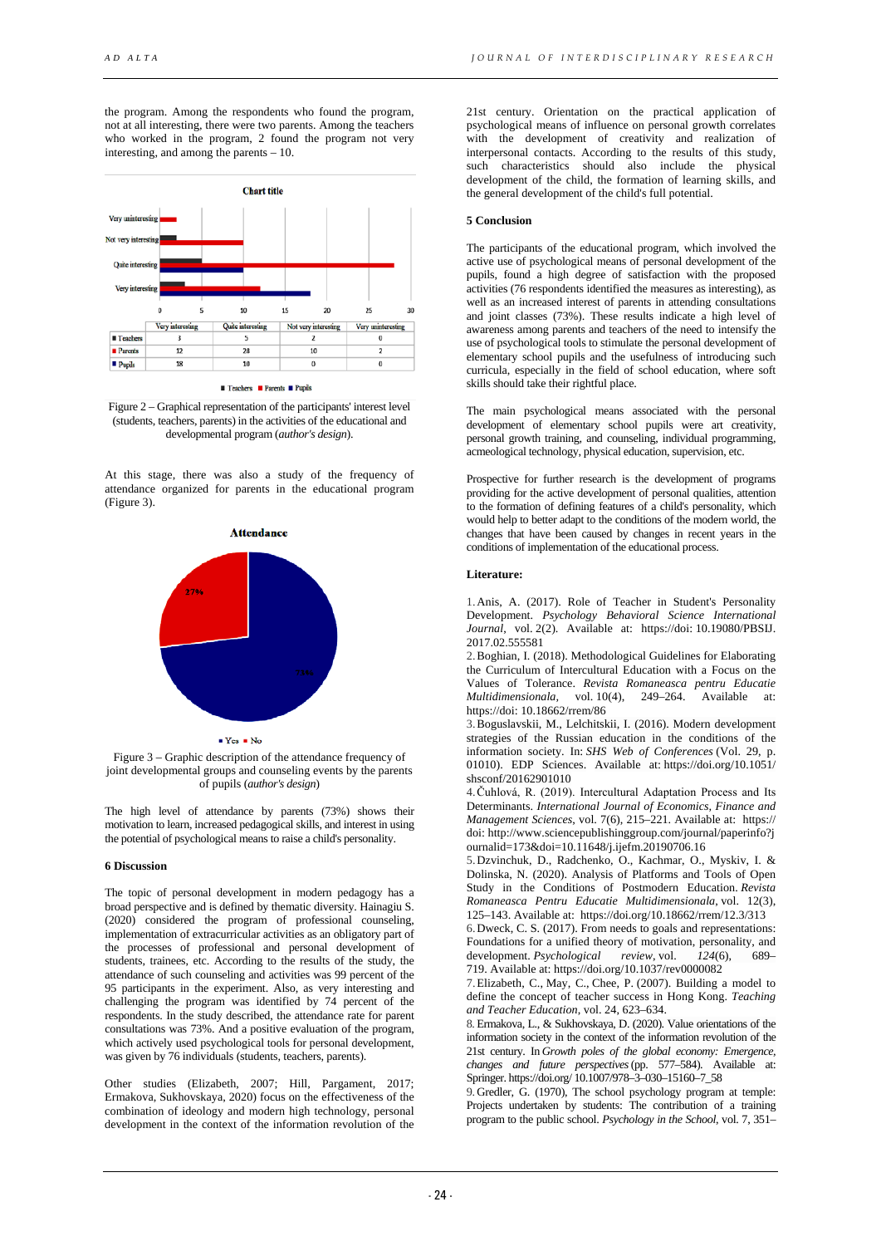the program. Among the respondents who found the program, not at all interesting, there were two parents. Among the teachers who worked in the program, 2 found the program not very interesting, and among the parents – 10.



**■ Teachers ■ Parents ■ Pupils** 

Figure 2 – Graphical representation of the participants' interest level (students, teachers, parents) in the activities of the educational and developmental program (*author's design*).

At this stage, there was also a study of the frequency of attendance organized for parents in the educational program (Figure 3).



Figure 3 – Graphic description of the attendance frequency of joint developmental groups and counseling events by the parents of pupils (*author's design*)

The high level of attendance by parents (73%) shows their motivation to learn, increased pedagogical skills, and interest in using the potential of psychological means to raise a child's personality.

### **6 Discussion**

The topic of personal development in modern pedagogy has a broad perspective and is defined by thematic diversity. Hainagiu S. (2020) considered the program of professional counseling, implementation of extracurricular activities as an obligatory part of the processes of professional and personal development of students, trainees, etc. According to the results of the study, the attendance of such counseling and activities was 99 percent of the 95 participants in the experiment. Also, as very interesting and challenging the program was identified by 74 percent of the respondents. In the study described, the attendance rate for parent consultations was 73%. And a positive evaluation of the program, which actively used psychological tools for personal development, was given by 76 individuals (students, teachers, parents).

Other studies (Elizabeth, 2007; Hill, Pargament, 2017; Ermakova, Sukhovskaya, 2020) focus on the effectiveness of the combination of ideology and modern high technology, personal development in the context of the information revolution of the

21st century. Orientation on the practical application of psychological means of influence on personal growth correlates with the development of creativity and realization of interpersonal contacts. According to the results of this study, such characteristics should also include the physical development of the child, the formation of learning skills, and the general development of the child's full potential.

# **5 Conclusion**

The participants of the educational program, which involved the active use of psychological means of personal development of the pupils, found a high degree of satisfaction with the proposed activities (76 respondents identified the measures as interesting), as well as an increased interest of parents in attending consultations and joint classes (73%). These results indicate a high level of awareness among parents and teachers of the need to intensify the use of psychological tools to stimulate the personal development of elementary school pupils and the usefulness of introducing such curricula, especially in the field of school education, where soft skills should take their rightful place.

The main psychological means associated with the personal development of elementary school pupils were art creativity, personal growth training, and counseling, individual programming, acmeological technology, physical education, supervision, etc.

Prospective for further research is the development of programs providing for the active development of personal qualities, attention to the formation of defining features of a child's personality, which would help to better adapt to the conditions of the modern world, the changes that have been caused by changes in recent years in the conditions of implementation of the educational process.

### **Literature:**

1.Anis, A. (2017). Role of Teacher in Student's Personality Development. *Psychology Behavioral Science International Journal*, vol. 2(2). Available at: https://doi: 10.19080/PBSIJ. 2017.02.555581

2.Boghian, I. (2018). Methodological Guidelines for Elaborating the Curriculum of Intercultural Education with a Focus on the Values of Tolerance. *[Revista Romaneasca pentru Educatie](https://www.researchgate.net/journal/Revista-Romaneasca-pentru-Educatie-Multidimensionala-2066-7329)  Multidimensionala,* vol. 10(4), https://doi: [10.18662/rrem/86](https://www.researchgate.net/deref/http%3A%2F%2Fdx.doi.org%2F10.18662%2Frrem%2F86) 

3.Boguslavskii, M., Lelchitskii, I. (2016). Modern development strategies of the Russian education in the conditions of the information society. In: *SHS Web of Conferences* (Vol. 29, p. 01010). EDP Sciences. Available at: https://doi.org/10.1051/ shsconf/20162901010

4.Čuhlová, R. (2019). Intercultural Adaptation Process and Its Determinants. *International Journal of Economics, Finance and Management Sciences*, vol. 7(6), 215–221. Available at: https:// doi: http://www.sciencepublishinggroup.com/journal/paperinfo?j ournalid=173&doi=10.11648/j.ijefm.20190706.16

5.Dzvinchuk, D., Radchenko, O., Kachmar, O., Myskiv, I. & Dolinska, N. (2020). Analysis of Platforms and Tools of Open Study in the Conditions of Postmodern Education. *Revista Romaneasca Pentru Educatie Multidimensionala*, vol. 12(3), 125–143. Available at: https://doi.org/10.18662/rrem/12.3/313

6.Dweck, C. S. (2017). From needs to goals and representations: Foundations for a unified theory of motivation, personality, and<br>development. *Psychological* review, vol. 124(6), 689– development. *Psychological* 719. Available at: https://doi.org/10.1037/rev0000082

7.Elizabeth, C., May, C., Chee, P. (2007). Building a model to define the concept of teacher success in Hong Kong. *Teaching and Teacher Education*, vol. 24, 623–634.

8. Ermakova, L., & Sukhovskaya, D. (2020). Value orientations of the information society in the context of the information revolution of the 21st century. In *Growth poles of the global economy: Emergence, changes and future perspectives*(pp. 577–584). Available at: Springer. https://doi.org/ 10.1007/978–3–030–15160–7\_58

9. Gredler, G. (1970), The school psychology program at temple: Projects undertaken by students: The contribution of a training program to the public school. *Psychology in the School*, vol. 7, 351–